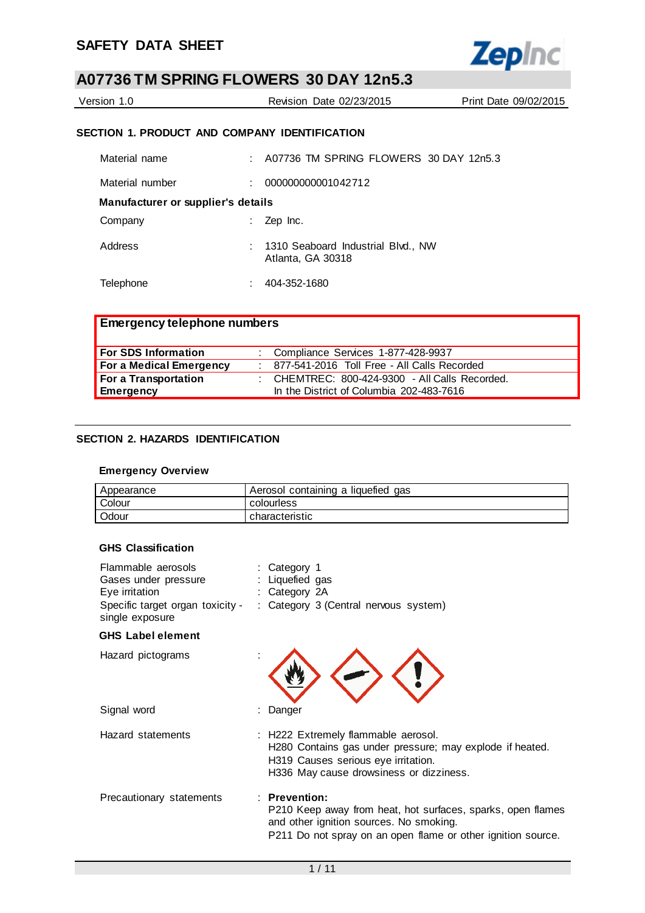

| Version 1.0   | Revision Date 02/23/2015                        | Print Date 09/02/2015 |
|---------------|-------------------------------------------------|-----------------------|
|               | SECTION 1. PRODUCT AND COMPANY IDENTIFICATION   |                       |
| Matorial namo | $\Lambda$ 07736 TM SDDING ELOMEDS 30 DAV 1205 3 |                       |

| Material name                      | : A07736 TM SPRING FLOWERS 30 DAY 12n5.3                |
|------------------------------------|---------------------------------------------------------|
| Material number                    | 000000000001042712                                      |
| Manufacturer or supplier's details |                                                         |
| Company                            | Zep Inc.                                                |
| Address                            | 1310 Seaboard Industrial Blvd., NW<br>Atlanta, GA 30318 |
| Telephone                          | 404-352-1680                                            |

| <b>Emergency telephone numbers</b> |  |                                                  |  |  |
|------------------------------------|--|--------------------------------------------------|--|--|
| <b>For SDS Information</b>         |  | : Compliance Services 1-877-428-9937             |  |  |
| <b>For a Medical Emergency</b>     |  | 877-541-2016 Toll Free - All Calls Recorded      |  |  |
| For a Transportation               |  | : CHEMTREC: $800-424-9300$ - All Calls Recorded. |  |  |
| <b>Emergency</b>                   |  | In the District of Columbia 202-483-7616         |  |  |

## **SECTION 2. HAZARDS IDENTIFICATION**

### **Emergency Overview**

| Appearance | Aerosol containing a liquefied gas |
|------------|------------------------------------|
| Colour     | colourless                         |
| Odour      | characteristic                     |

### **GHS Classification**

| Flammable aerosols<br>Gases under pressure<br>Eye irritation<br>Specific target organ toxicity -<br>single exposure | : Category 1<br>: Liquefied gas<br>: Category $2A$<br>: Category 3 (Central nervous system)                                                                                               |
|---------------------------------------------------------------------------------------------------------------------|-------------------------------------------------------------------------------------------------------------------------------------------------------------------------------------------|
| <b>GHS Label element</b>                                                                                            |                                                                                                                                                                                           |
| Hazard pictograms                                                                                                   |                                                                                                                                                                                           |
| Signal word                                                                                                         | Danger                                                                                                                                                                                    |
| Hazard statements                                                                                                   | : H222 Extremely flammable aerosol.<br>H280 Contains gas under pressure; may explode if heated.<br>H319 Causes serious eye irritation.<br>H336 May cause drowsiness or dizziness.         |
| Precautionary statements                                                                                            | $:$ Prevention:<br>P210 Keep away from heat, hot surfaces, sparks, open flames<br>and other ignition sources. No smoking.<br>P211 Do not spray on an open flame or other ignition source. |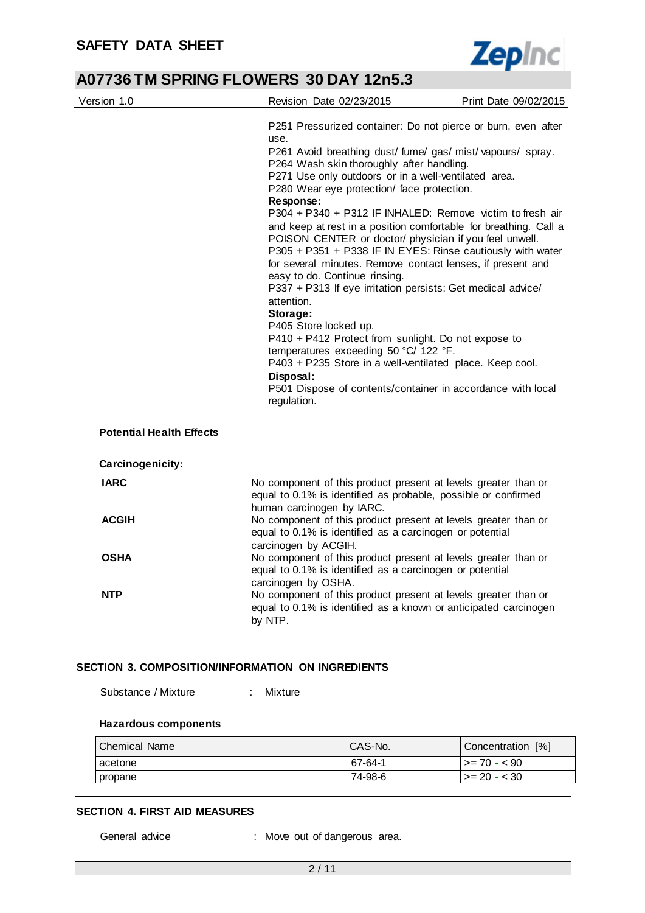Ĭ.



## **A07736 TM SPRING FLOWERS 30 DAY 12n5.3**

| Version 1.0                     | Revision Date 02/23/2015                                                                                                                                                                                                                                                                                                                                                                                                                                                                                                                                                                                                                                                                                                                                                                                                                                                                                                                                                                                                              | Print Date 09/02/2015 |
|---------------------------------|---------------------------------------------------------------------------------------------------------------------------------------------------------------------------------------------------------------------------------------------------------------------------------------------------------------------------------------------------------------------------------------------------------------------------------------------------------------------------------------------------------------------------------------------------------------------------------------------------------------------------------------------------------------------------------------------------------------------------------------------------------------------------------------------------------------------------------------------------------------------------------------------------------------------------------------------------------------------------------------------------------------------------------------|-----------------------|
|                                 | P251 Pressurized container: Do not pierce or burn, even after<br>use.<br>P261 Avoid breathing dust/ fume/ gas/ mist/ vapours/ spray.<br>P264 Wash skin thoroughly after handling.<br>P271 Use only outdoors or in a well-ventilated area.<br>P280 Wear eye protection/ face protection.<br>Response:<br>P304 + P340 + P312 IF INHALED: Remove victim to fresh air<br>and keep at rest in a position comfortable for breathing. Call a<br>POISON CENTER or doctor/ physician if you feel unwell.<br>P305 + P351 + P338 IF IN EYES: Rinse cautiously with water<br>for several minutes. Remove contact lenses, if present and<br>easy to do. Continue rinsing.<br>P337 + P313 If eye irritation persists: Get medical advice/<br>attention.<br>Storage:<br>P405 Store locked up.<br>P410 + P412 Protect from sunlight. Do not expose to<br>temperatures exceeding 50 °C/ 122 °F.<br>P403 + P235 Store in a well-ventilated place. Keep cool.<br>Disposal:<br>P501 Dispose of contents/container in accordance with local<br>regulation. |                       |
| <b>Potential Health Effects</b> |                                                                                                                                                                                                                                                                                                                                                                                                                                                                                                                                                                                                                                                                                                                                                                                                                                                                                                                                                                                                                                       |                       |
| Carcinogenicity:                |                                                                                                                                                                                                                                                                                                                                                                                                                                                                                                                                                                                                                                                                                                                                                                                                                                                                                                                                                                                                                                       |                       |
| <b>IARC</b>                     | No component of this product present at levels greater than or<br>equal to 0.1% is identified as probable, possible or confirmed<br>human carcinogen by IARC.                                                                                                                                                                                                                                                                                                                                                                                                                                                                                                                                                                                                                                                                                                                                                                                                                                                                         |                       |
| <b>ACGIH</b>                    | No component of this product present at levels greater than or<br>equal to 0.1% is identified as a carcinogen or potential<br>carcinogen by ACGIH.                                                                                                                                                                                                                                                                                                                                                                                                                                                                                                                                                                                                                                                                                                                                                                                                                                                                                    |                       |
| <b>OSHA</b>                     | No component of this product present at levels greater than or<br>equal to 0.1% is identified as a carcinogen or potential<br>carcinogen by OSHA.                                                                                                                                                                                                                                                                                                                                                                                                                                                                                                                                                                                                                                                                                                                                                                                                                                                                                     |                       |
| <b>NTP</b>                      | No component of this product present at levels greater than or<br>equal to 0.1% is identified as a known or anticipated carcinogen<br>by NTP.                                                                                                                                                                                                                                                                                                                                                                                                                                                                                                                                                                                                                                                                                                                                                                                                                                                                                         |                       |

### **SECTION 3. COMPOSITION/INFORMATION ON INGREDIENTS**

Substance / Mixture : Mixture

#### **Hazardous components**

| l Chemical Name l | CAS-No. | Concentration [%] |
|-------------------|---------|-------------------|
| acetone           | 67-64-1 | $>= 70 - 590$     |
| I propane         | 74-98-6 | $>= 20 - 30$      |

#### **SECTION 4. FIRST AID MEASURES**

General advice : Move out of dangerous area.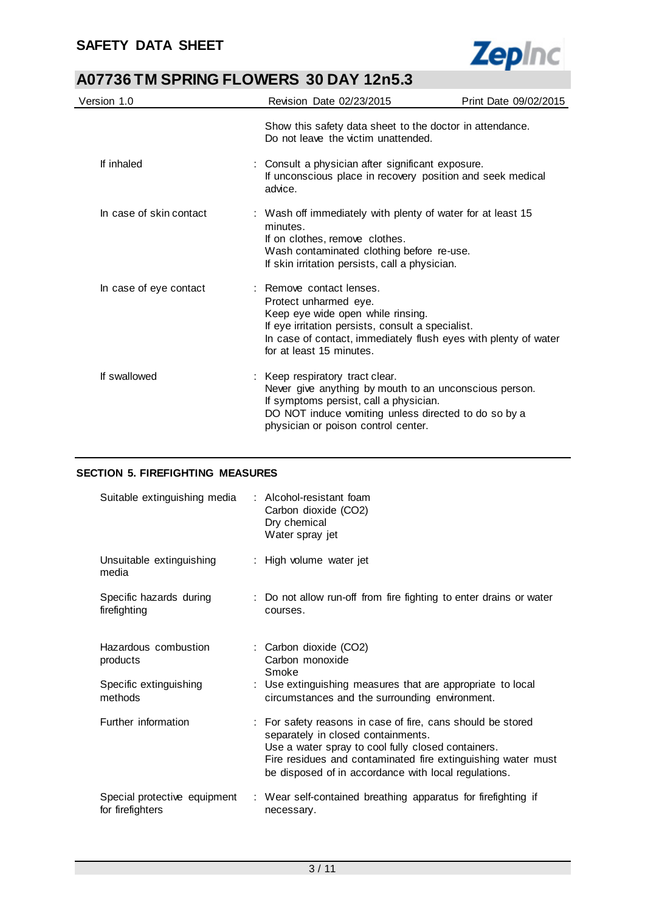

| Version 1.0             | Revision Date 02/23/2015                                                                                                                                                                                                                   | Print Date 09/02/2015 |
|-------------------------|--------------------------------------------------------------------------------------------------------------------------------------------------------------------------------------------------------------------------------------------|-----------------------|
|                         | Show this safety data sheet to the doctor in attendance.<br>Do not leave the victim unattended.                                                                                                                                            |                       |
| If inhaled              | : Consult a physician after significant exposure.<br>If unconscious place in recovery position and seek medical<br>advice.                                                                                                                 |                       |
| In case of skin contact | : Wash off immediately with plenty of water for at least 15<br>minutes.<br>If on clothes, remove clothes.<br>Wash contaminated clothing before re-use.<br>If skin irritation persists, call a physician.                                   |                       |
| In case of eye contact  | : Remove contact lenses.<br>Protect unharmed eye.<br>Keep eye wide open while rinsing.<br>If eye irritation persists, consult a specialist.<br>In case of contact, immediately flush eyes with plenty of water<br>for at least 15 minutes. |                       |
| If swallowed            | : Keep respiratory tract clear.<br>Never give anything by mouth to an unconscious person.<br>If symptoms persist, call a physician.<br>DO NOT induce vomiting unless directed to do so by a<br>physician or poison control center.         |                       |

## **SECTION 5. FIREFIGHTING MEASURES**

| Suitable extinguishing media                     | : Alcohol-resistant foam<br>Carbon dioxide (CO2)<br>Dry chemical<br>Water spray jet                                                                                                                                                                                             |
|--------------------------------------------------|---------------------------------------------------------------------------------------------------------------------------------------------------------------------------------------------------------------------------------------------------------------------------------|
| Unsuitable extinguishing<br>media                | : High volume water jet                                                                                                                                                                                                                                                         |
| Specific hazards during<br>firefighting          | : Do not allow run-off from fire fighting to enter drains or water<br>courses.                                                                                                                                                                                                  |
| Hazardous combustion<br>products                 | : Carbon dioxide (CO2)<br>Carbon monoxide<br>Smoke                                                                                                                                                                                                                              |
| Specific extinguishing<br>methods                | : Use extinguishing measures that are appropriate to local<br>circumstances and the surrounding environment.                                                                                                                                                                    |
| Further information                              | : For safety reasons in case of fire, cans should be stored<br>separately in closed containments.<br>Use a water spray to cool fully closed containers.<br>Fire residues and contaminated fire extinguishing water must<br>be disposed of in accordance with local regulations. |
| Special protective equipment<br>for firefighters | : Wear self-contained breathing apparatus for firefighting if<br>necessary.                                                                                                                                                                                                     |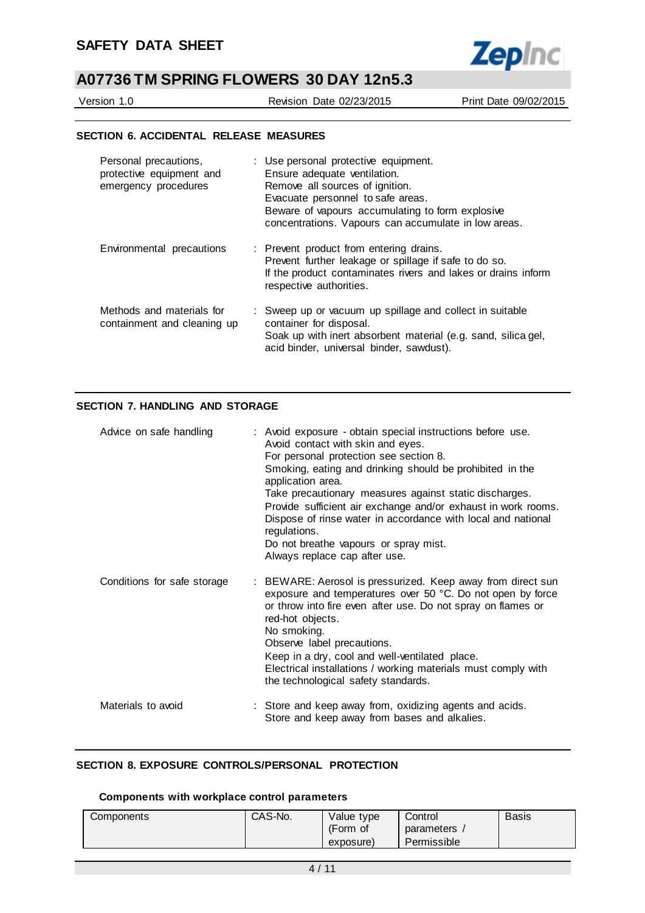

Version 1.0 Revision Date 02/23/2015 Print Date 09/02/2015

#### **SECTION 6. ACCIDENTAL RELEASE MEASURES**

| Personal precautions,<br>protective equipment and<br>emergency procedures | : Use personal protective equipment.<br>Ensure adequate ventilation.<br>Remove all sources of ignition.<br>Evacuate personnel to safe areas.<br>Beware of vapours accumulating to form explosive<br>concentrations. Vapours can accumulate in low areas. |
|---------------------------------------------------------------------------|----------------------------------------------------------------------------------------------------------------------------------------------------------------------------------------------------------------------------------------------------------|
| Environmental precautions                                                 | : Prevent product from entering drains.<br>Prevent further leakage or spillage if safe to do so.<br>If the product contaminates rivers and lakes or drains inform<br>respective authorities.                                                             |
| Methods and materials for<br>containment and cleaning up                  | : Sweep up or vacuum up spillage and collect in suitable<br>container for disposal.<br>Soak up with inert absorbent material (e.g. sand, silica gel,<br>acid binder, universal binder, sawdust).                                                         |

### **SECTION 7. HANDLING AND STORAGE**

| Advice on safe handling     | : Avoid exposure - obtain special instructions before use.<br>Avoid contact with skin and eyes.<br>For personal protection see section 8.<br>Smoking, eating and drinking should be prohibited in the<br>application area.<br>Take precautionary measures against static discharges.<br>Provide sufficient air exchange and/or exhaust in work rooms.<br>Dispose of rinse water in accordance with local and national<br>regulations.<br>Do not breathe vapours or spray mist.<br>Always replace cap after use. |
|-----------------------------|-----------------------------------------------------------------------------------------------------------------------------------------------------------------------------------------------------------------------------------------------------------------------------------------------------------------------------------------------------------------------------------------------------------------------------------------------------------------------------------------------------------------|
| Conditions for safe storage | : BEWARE: Aerosol is pressurized. Keep away from direct sun<br>exposure and temperatures over 50 °C. Do not open by force<br>or throw into fire even after use. Do not spray on flames or<br>red-hot objects.<br>No smoking.<br>Observe label precautions.<br>Keep in a dry, cool and well-ventilated place.<br>Electrical installations / working materials must comply with<br>the technological safety standards.                                                                                            |
| Materials to avoid          | : Store and keep away from, oxidizing agents and acids.<br>Store and keep away from bases and alkalies.                                                                                                                                                                                                                                                                                                                                                                                                         |

## **SECTION 8. EXPOSURE CONTROLS/PERSONAL PROTECTION**

#### **Components with workplace control parameters**

| Components | CAS-No. | Value type | Control     | <b>Basis</b> |
|------------|---------|------------|-------------|--------------|
|            |         | (Form of   | parameters  |              |
|            |         | exposure)  | Permissible |              |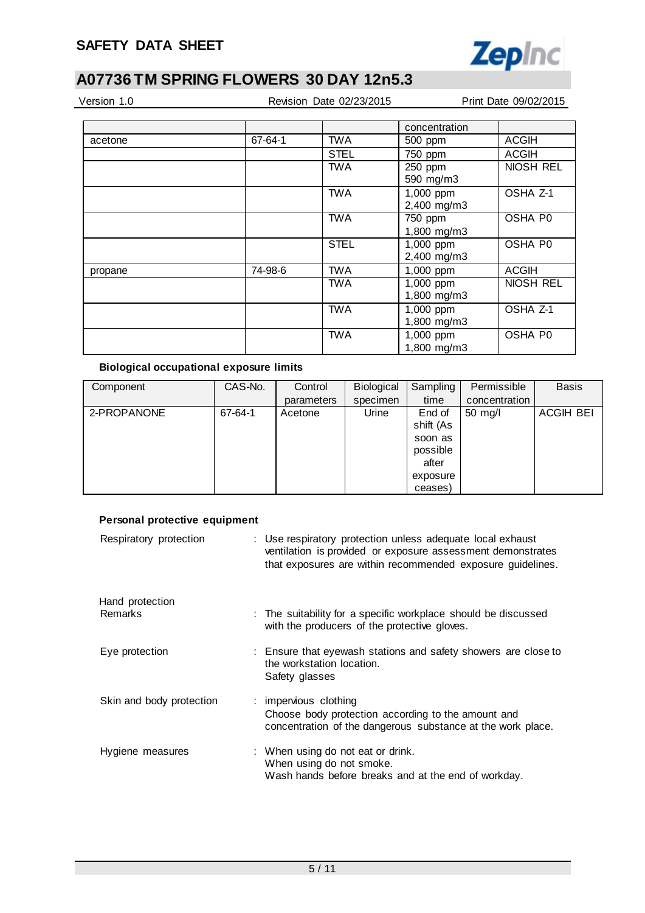

| Version 1.0 |  |  |
|-------------|--|--|
|             |  |  |

Revision Date 02/23/2015 Print Date 09/02/2015

|         |         |             | concentration |              |
|---------|---------|-------------|---------------|--------------|
| acetone | 67-64-1 | <b>TWA</b>  | 500 ppm       | ACGIH        |
|         |         | <b>STEL</b> | 750 ppm       | ACGIH        |
|         |         | <b>TWA</b>  | 250 ppm       | NIOSH REL    |
|         |         |             | 590 mg/m3     |              |
|         |         | <b>TWA</b>  | 1,000 ppm     | OSHA Z-1     |
|         |         |             | 2,400 mg/m3   |              |
|         |         | <b>TWA</b>  | 750 ppm       | OSHA P0      |
|         |         |             | 1,800 mg/m3   |              |
|         |         | <b>STEL</b> | 1,000 ppm     | OSHA P0      |
|         |         |             | 2,400 mg/m3   |              |
| propane | 74-98-6 | <b>TWA</b>  | 1,000 ppm     | <b>ACGIH</b> |
|         |         | <b>TWA</b>  | 1,000 ppm     | NIOSH REL    |
|         |         |             | 1,800 mg/m3   |              |
|         |         | <b>TWA</b>  | 1,000 ppm     | OSHA Z-1     |
|         |         |             | 1,800 mg/m3   |              |
|         |         | <b>TWA</b>  | 1,000 ppm     | OSHA P0      |
|         |         |             | 1,800 mg/m3   |              |

## **Biological occupational exposure limits**

| Component   | CAS-No. | Control    | Biological | Sampling  | Permissible   | <b>Basis</b>     |
|-------------|---------|------------|------------|-----------|---------------|------------------|
|             |         | parameters | specimen   | time      | concentration |                  |
| 2-PROPANONE | 67-64-1 | Acetone    | Urine      | End of    | $50$ mg/l     | <b>ACGIH BEI</b> |
|             |         |            |            | shift (As |               |                  |
|             |         |            |            | soon as   |               |                  |
|             |         |            |            | possible  |               |                  |
|             |         |            |            | after     |               |                  |
|             |         |            |            | exposure  |               |                  |
|             |         |            |            | ceases)   |               |                  |

## **Personal protective equipment**

| Respiratory protection     | : Use respiratory protection unless adequate local exhaust<br>ventilation is provided or exposure assessment demonstrates<br>that exposures are within recommended exposure guidelines. |
|----------------------------|-----------------------------------------------------------------------------------------------------------------------------------------------------------------------------------------|
| Hand protection<br>Remarks | : The suitability for a specific workplace should be discussed<br>with the producers of the protective gloves.                                                                          |
| Eye protection             | : Ensure that eyewash stations and safety showers are close to<br>the workstation location.<br>Safety glasses                                                                           |
| Skin and body protection   | : impervious clothing<br>Choose body protection according to the amount and<br>concentration of the dangerous substance at the work place.                                              |
| Hygiene measures           | : When using do not eat or drink.<br>When using do not smoke.<br>Wash hands before breaks and at the end of workday.                                                                    |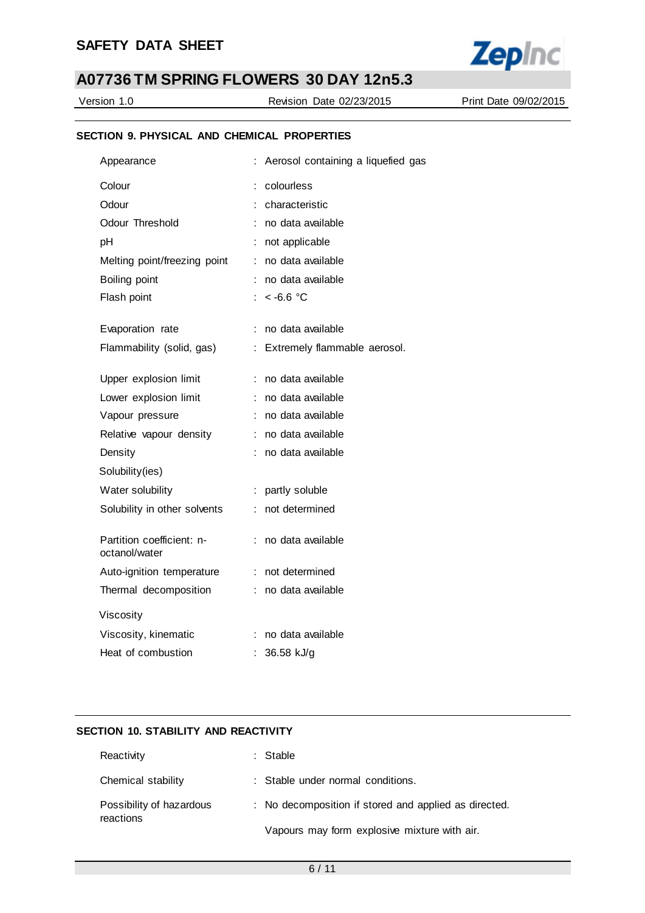

Version 1.0 Revision Date 02/23/2015 Print Date 09/02/2015

## **SECTION 9. PHYSICAL AND CHEMICAL PROPERTIES**

| Appearance                                 |    | Aerosol containing a liquefied gas |
|--------------------------------------------|----|------------------------------------|
| Colour                                     |    | colourless                         |
| Odour                                      |    | characteristic                     |
| Odour Threshold                            |    | no data available                  |
| pH                                         | ÷. | not applicable                     |
| Melting point/freezing point               | ÷  | no data available                  |
| Boiling point                              |    | no data available                  |
| Flash point                                |    | $~<$ -6.6 °C                       |
|                                            |    |                                    |
| Evaporation rate                           | ÷  | no data available                  |
| Flammability (solid, gas)                  | ÷  | Extremely flammable aerosol.       |
| Upper explosion limit                      | ÷. | no data available                  |
| Lower explosion limit                      |    | : no data available                |
| Vapour pressure                            |    | no data available                  |
| Relative vapour density                    |    | no data available                  |
| Density                                    |    | no data available                  |
| Solubility(ies)                            |    |                                    |
| Water solubility                           | ÷  | partly soluble                     |
| Solubility in other solvents               | t. | not determined                     |
| Partition coefficient: n-<br>octanol/water |    | : no data available                |
| Auto-ignition temperature                  | ÷. | not determined                     |
| Thermal decomposition                      |    | : no data available                |
| Viscosity                                  |    |                                    |
| Viscosity, kinematic                       | ÷  | no data available                  |
| Heat of combustion                         |    | 36.58 kJ/g                         |
|                                            |    |                                    |

## **SECTION 10. STABILITY AND REACTIVITY**

| Reactivity                            | : Stable                                              |
|---------------------------------------|-------------------------------------------------------|
| Chemical stability                    | : Stable under normal conditions.                     |
| Possibility of hazardous<br>reactions | : No decomposition if stored and applied as directed. |
|                                       | Vapours may form explosive mixture with air.          |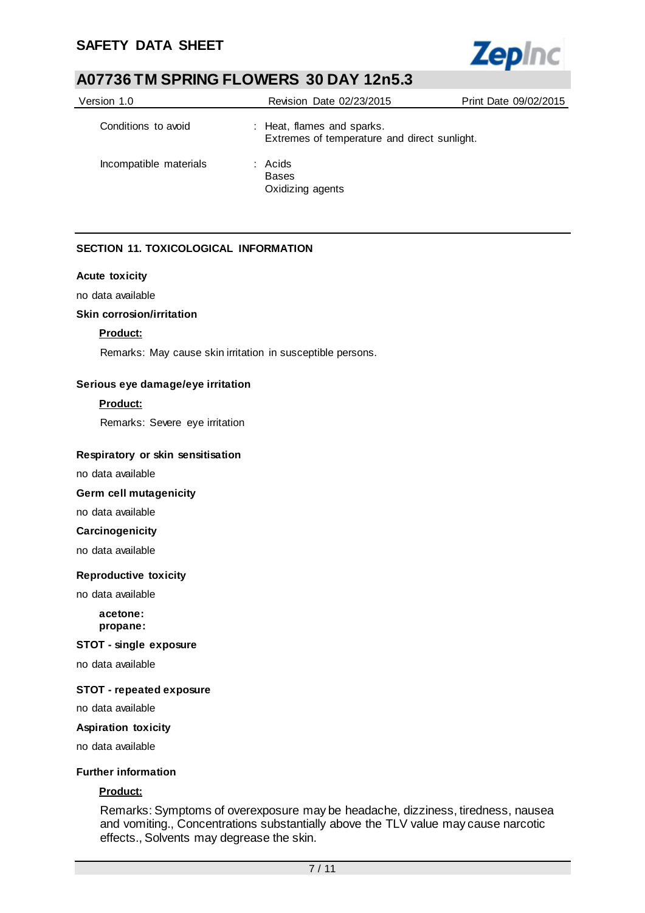

| Version 1.0            | Revision Date 02/23/2015                                                   | Print Date 09/02/2015 |
|------------------------|----------------------------------------------------------------------------|-----------------------|
| Conditions to avoid    | : Heat, flames and sparks.<br>Extremes of temperature and direct sunlight. |                       |
| Incompatible materials | $:$ Acids<br><b>Bases</b><br>Oxidizing agents                              |                       |

## **SECTION 11. TOXICOLOGICAL INFORMATION**

#### **Acute toxicity**

no data available

### **Skin corrosion/irritation**

### **Product:**

Remarks: May cause skin irritation in susceptible persons.

#### **Serious eye damage/eye irritation**

#### **Product:**

Remarks: Severe eye irritation

#### **Respiratory or skin sensitisation**

no data available

### **Germ cell mutagenicity**

no data available

### **Carcinogenicity**

no data available

#### **Reproductive toxicity**

no data available

#### **acetone: propane:**

#### **STOT - single exposure**

no data available

#### **STOT - repeated exposure**

no data available

#### **Aspiration toxicity**

no data available

#### **Further information**

### **Product:**

Remarks: Symptoms of overexposure may be headache, dizziness, tiredness, nausea and vomiting., Concentrations substantially above the TLV value may cause narcotic effects., Solvents may degrease the skin.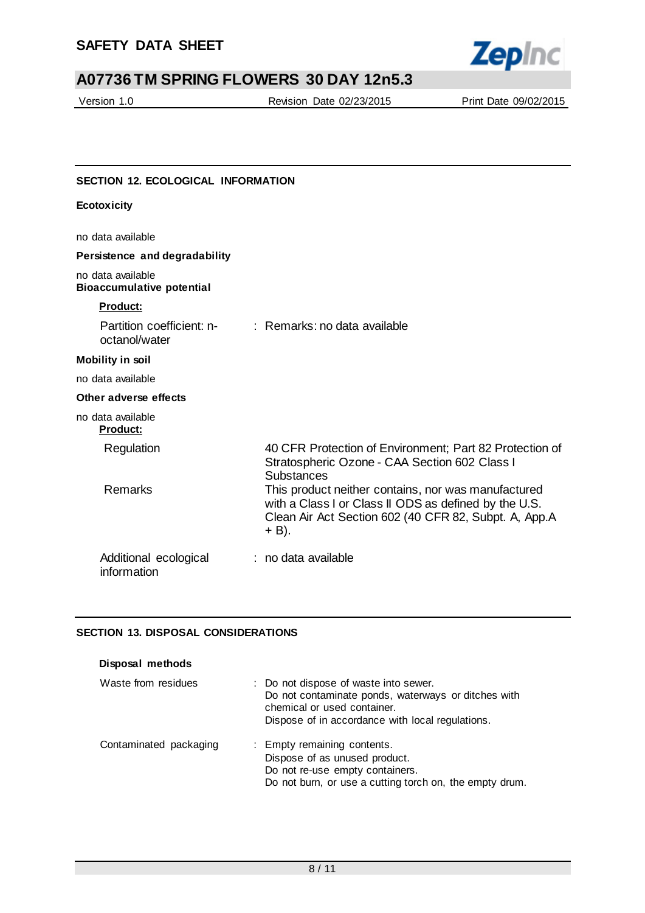

Version 1.0 Revision Date 02/23/2015 Print Date 09/02/2015

## **SECTION 12. ECOLOGICAL INFORMATION**

| <b>Ecotoxicity</b>                                    |                                                                                                                                                                                      |
|-------------------------------------------------------|--------------------------------------------------------------------------------------------------------------------------------------------------------------------------------------|
| no data available                                     |                                                                                                                                                                                      |
| Persistence and degradability                         |                                                                                                                                                                                      |
| no data available<br><b>Bioaccumulative potential</b> |                                                                                                                                                                                      |
| Product:                                              |                                                                                                                                                                                      |
| Partition coefficient: n-<br>octanol/water            | $:$ Remarks: no data available                                                                                                                                                       |
| <b>Mobility in soil</b>                               |                                                                                                                                                                                      |
| no data available                                     |                                                                                                                                                                                      |
| Other adverse effects                                 |                                                                                                                                                                                      |
| no data available<br><b>Product:</b>                  |                                                                                                                                                                                      |
| Regulation<br>Remarks                                 | 40 CFR Protection of Environment; Part 82 Protection of<br>Stratospheric Ozone - CAA Section 602 Class I<br><b>Substances</b><br>This product neither contains, nor was manufactured |
|                                                       | with a Class I or Class II ODS as defined by the U.S.<br>Clean Air Act Section 602 (40 CFR 82, Subpt. A, App.A<br>+ B).                                                              |
| Additional ecological<br>information                  | : no data available                                                                                                                                                                  |

## **SECTION 13. DISPOSAL CONSIDERATIONS**

| Disposal methods       |                                                                                                                                                                                 |
|------------------------|---------------------------------------------------------------------------------------------------------------------------------------------------------------------------------|
| Waste from residues    | : Do not dispose of waste into sewer.<br>Do not contaminate ponds, waterways or ditches with<br>chemical or used container.<br>Dispose of in accordance with local regulations. |
| Contaminated packaging | : Empty remaining contents.<br>Dispose of as unused product.<br>Do not re-use empty containers.<br>Do not burn, or use a cutting torch on, the empty drum.                      |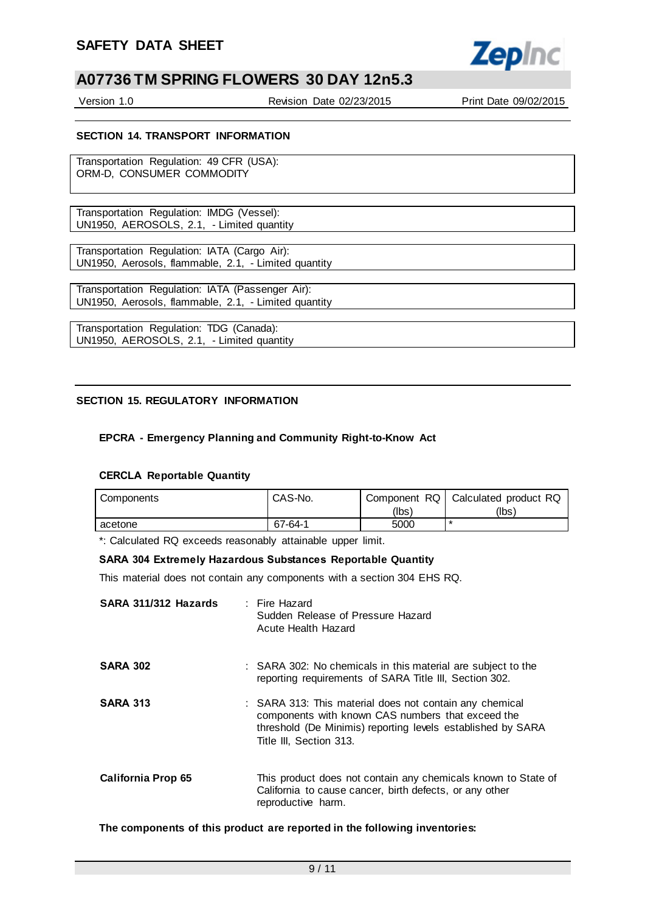

Version 1.0 Revision Date 02/23/2015 Print Date 09/02/2015

#### **SECTION 14. TRANSPORT INFORMATION**

Transportation Regulation: 49 CFR (USA): ORM-D, CONSUMER COMMODITY

Transportation Regulation: IMDG (Vessel): UN1950, AEROSOLS, 2.1, - Limited quantity

Transportation Regulation: IATA (Cargo Air): UN1950, Aerosols, flammable, 2.1, - Limited quantity

Transportation Regulation: IATA (Passenger Air): UN1950, Aerosols, flammable, 2.1, - Limited quantity

Transportation Regulation: TDG (Canada): UN1950, AEROSOLS, 2.1, - Limited quantity

#### **SECTION 15. REGULATORY INFORMATION**

#### **EPCRA - Emergency Planning and Community Right-to-Know Act**

#### **CERCLA Reportable Quantity**

| Components | CAS-No. | Component RQ | Calculated product RQ |
|------------|---------|--------------|-----------------------|
|            |         | (Ibsˈ        | (lbs)                 |
| acetone    | 67-64-1 | 5000         | *                     |

\*: Calculated RQ exceeds reasonably attainable upper limit.

#### **SARA 304 Extremely Hazardous Substances Reportable Quantity**

This material does not contain any components with a section 304 EHS RQ.

| SARA 311/312 Hazards | : Fire Hazard<br>Sudden Release of Pressure Hazard<br>Acute Health Hazard                                                                                                                              |
|----------------------|--------------------------------------------------------------------------------------------------------------------------------------------------------------------------------------------------------|
| <b>SARA 302</b>      | : SARA 302: No chemicals in this material are subject to the<br>reporting requirements of SARA Title III, Section 302.                                                                                 |
| <b>SARA 313</b>      | : SARA 313: This material does not contain any chemical<br>components with known CAS numbers that exceed the<br>threshold (De Minimis) reporting levels established by SARA<br>Title III, Section 313. |
| California Prop 65   | This product does not contain any chemicals known to State of<br>California to cause cancer, birth defects, or any other<br>reproductive harm.                                                         |

**The components of this product are reported in the following inventories:**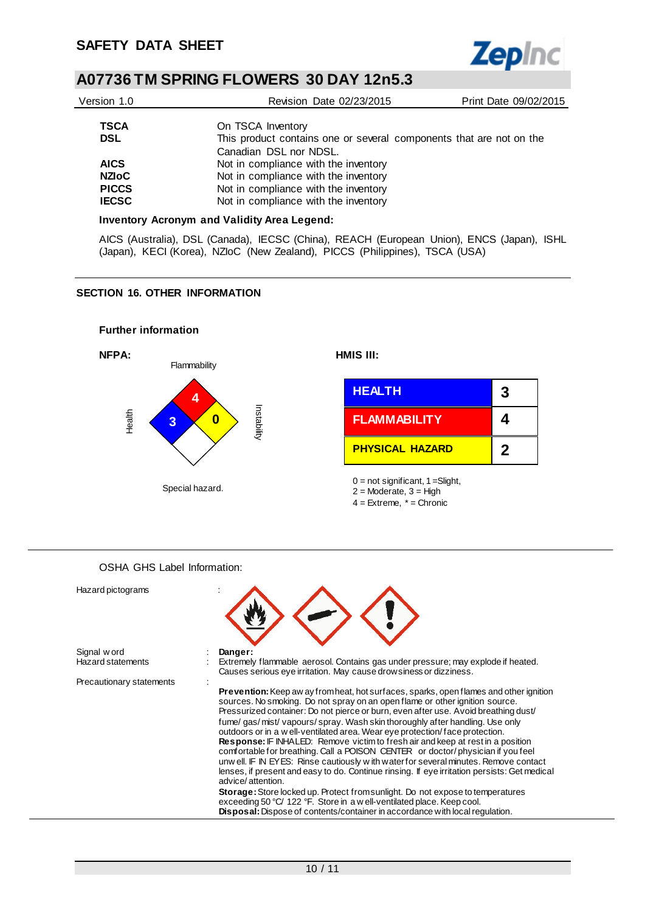

| Version 1.0  | Revision Date 02/23/2015                                            | Print Date 09/02/2015 |
|--------------|---------------------------------------------------------------------|-----------------------|
|              |                                                                     |                       |
| <b>TSCA</b>  | On TSCA Inventory                                                   |                       |
| <b>DSL</b>   | This product contains one or several components that are not on the |                       |
|              | Canadian DSL nor NDSL.                                              |                       |
| <b>AICS</b>  | Not in compliance with the inventory                                |                       |
| <b>NZIOC</b> | Not in compliance with the inventory                                |                       |
| <b>PICCS</b> | Not in compliance with the inventory                                |                       |
| <b>IECSC</b> | Not in compliance with the inventory                                |                       |
|              |                                                                     |                       |

#### **Inventory Acronym and Validity Area Legend:**

AICS (Australia), DSL (Canada), IECSC (China), REACH (European Union), ENCS (Japan), ISHL (Japan), KECI (Korea), NZIoC (New Zealand), PICCS (Philippines), TSCA (USA)

#### **SECTION 16. OTHER INFORMATION**





OSHA GHS Label Information: